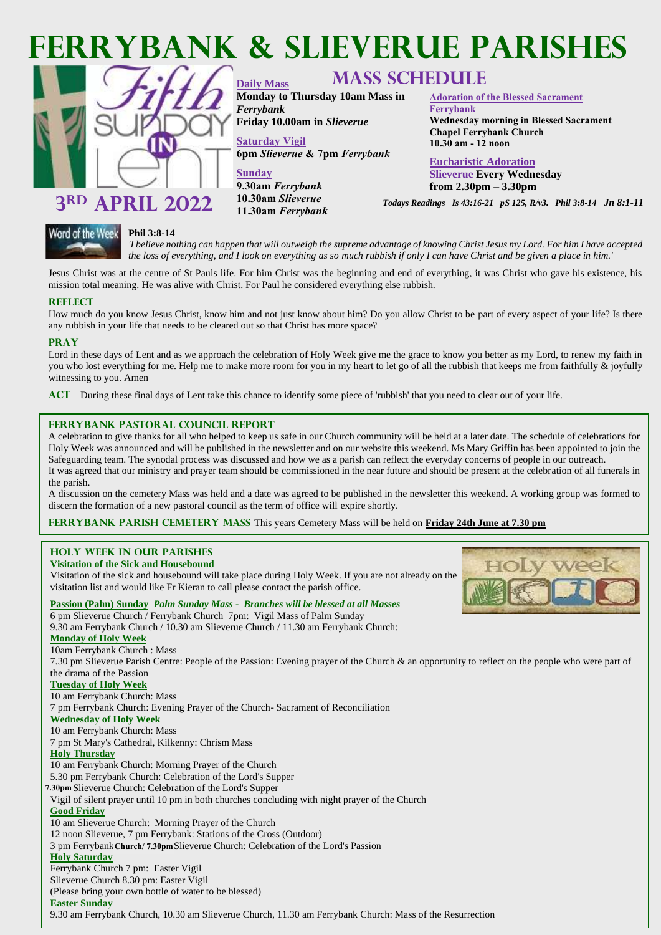

**Monday to Thursday 10am Mass in** 

**Friday 10.00am in** *Slieverue*

**6pm** *Slieverue* **& 7pm** *Ferrybank*

**Daily Mass** 

*Ferrybank* 

**Sunday**

**Saturday Vigil** 

**9.30am** *Ferrybank*  **10.30am** *Slieverue*  **11.30am** *Ferrybank*



## 3<sup>RD</sup> APRIL 2022 **RD APRIL 2022 10.30am Slieverue** *Todays Readings Is 43:16-21 pS 125, R/v3. Phil 3:8-14 Jn 8:1-11*



 *the loss of everything, and I look on everything as so much rubbish if only I can have Christ and be given a place in him.'*  *'I believe nothing can happen that will outweigh the supreme advantage of knowing Christ Jesus my Lord. For him I have accepted* 

**Adoration of the Blessed Sacrament** 

**Chapel Ferrybank Church 10.30 am - 12 noon**

**Eucharistic Adoration Slieverue Every Wednesday from 2.30pm – 3.30pm**

**Wednesday morning in Blessed Sacrament** 

**Ferrybank**

Jesus Christ was at the centre of St Pauls life. For him Christ was the beginning and end of everything, it was Christ who gave his existence, his mission total meaning. He was alive with Christ. For Paul he considered everything else rubbish.

### **Reflect**

How much do you know Jesus Christ, know him and not just know about him? Do you allow Christ to be part of every aspect of your life? Is there any rubbish in your life that needs to be cleared out so that Christ has more space?

#### **Pray**

Lord in these days of Lent and as we approach the celebration of Holy Week give me the grace to know you better as my Lord, to renew my faith in you who lost everything for me. Help me to make more room for you in my heart to let go of all the rubbish that keeps me from faithfully & joyfully witnessing to you. Amen

**Act** During these final days of Lent take this chance to identify some piece of 'rubbish' that you need to clear out of your life.

### **Ferrybank Pastoral Council Report**

A celebration to give thanks for all who helped to keep us safe in our Church community will be held at a later date. The schedule of celebrations for Holy Week was announced and will be published in the newsletter and on our website this weekend. Ms Mary Griffin has been appointed to join the Safeguarding team. The synodal process was discussed and how we as a parish can reflect the everyday concerns of people in our outreach. It was agreed that our ministry and prayer team should be commissioned in the near future and should be present at the celebration of all funerals in the parish.

A discussion on the cemetery Mass was held and a date was agreed to be published in the newsletter this weekend. A working group was formed to discern the formation of a new pastoral council as the term of office will expire shortly.

#### **FERRYBANK PARISH CEMETERY MASS** This years Cemetery Mass will be held on **Friday 24th June at 7.30 pm**

#### **HOLY WEEK IN OUR PARISHES Visitation of the Sick and Housebound**

Visitation of the sick and housebound will take place during Holy Week. If you are not already on the visitation list and would like Fr Kieran to call please contact the parish office.